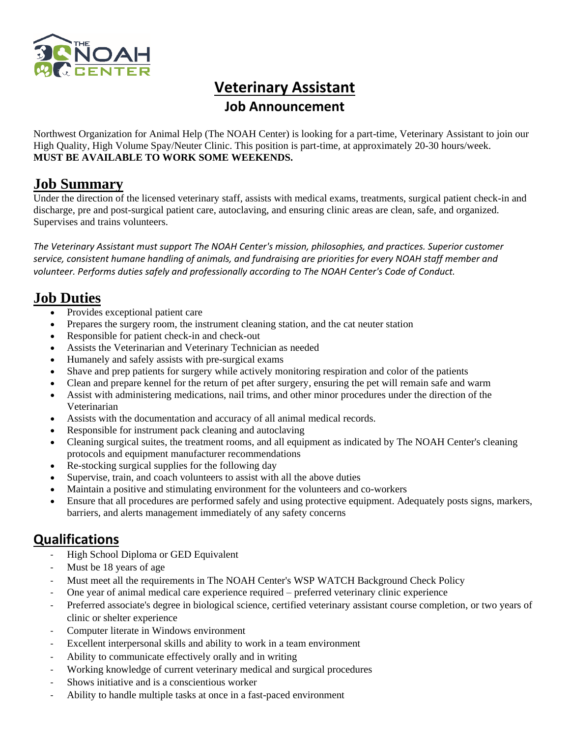

# **Veterinary Assistant**

### **Job Announcement**

Northwest Organization for Animal Help (The NOAH Center) is looking for a part-time, Veterinary Assistant to join our High Quality, High Volume Spay/Neuter Clinic. This position is part-time, at approximately 20-30 hours/week. **MUST BE AVAILABLE TO WORK SOME WEEKENDS.** 

### **Job Summary**

Under the direction of the licensed veterinary staff, assists with medical exams, treatments, surgical patient check-in and discharge, pre and post-surgical patient care, autoclaving, and ensuring clinic areas are clean, safe, and organized. Supervises and trains volunteers.

*The Veterinary Assistant must support The NOAH Center's mission, philosophies, and practices. Superior customer service, consistent humane handling of animals, and fundraising are priorities for every NOAH staff member and volunteer. Performs duties safely and professionally according to The NOAH Center's Code of Conduct.*

# **Job Duties**

- Provides exceptional patient care
- Prepares the surgery room, the instrument cleaning station, and the cat neuter station
- Responsible for patient check-in and check-out
- Assists the Veterinarian and Veterinary Technician as needed
- Humanely and safely assists with pre-surgical exams
- Shave and prep patients for surgery while actively monitoring respiration and color of the patients
- Clean and prepare kennel for the return of pet after surgery, ensuring the pet will remain safe and warm
- Assist with administering medications, nail trims, and other minor procedures under the direction of the Veterinarian
- Assists with the documentation and accuracy of all animal medical records.
- Responsible for instrument pack cleaning and autoclaving
- Cleaning surgical suites, the treatment rooms, and all equipment as indicated by The NOAH Center's cleaning protocols and equipment manufacturer recommendations
- Re-stocking surgical supplies for the following day
- Supervise, train, and coach volunteers to assist with all the above duties
- Maintain a positive and stimulating environment for the volunteers and co-workers
- Ensure that all procedures are performed safely and using protective equipment. Adequately posts signs, markers, barriers, and alerts management immediately of any safety concerns

# **Qualifications**

- High School Diploma or GED Equivalent
- Must be 18 years of age
- Must meet all the requirements in The NOAH Center's WSP WATCH Background Check Policy
- One year of animal medical care experience required preferred veterinary clinic experience
- Preferred associate's degree in biological science, certified veterinary assistant course completion, or two years of clinic or shelter experience
- Computer literate in Windows environment
- Excellent interpersonal skills and ability to work in a team environment
- Ability to communicate effectively orally and in writing
- Working knowledge of current veterinary medical and surgical procedures
- Shows initiative and is a conscientious worker
- Ability to handle multiple tasks at once in a fast-paced environment